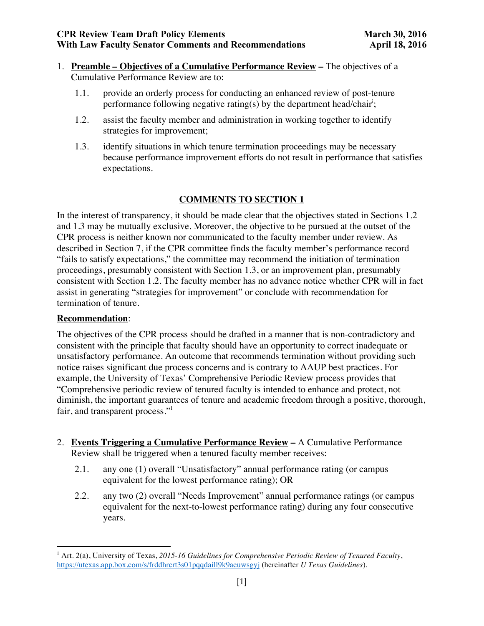- 1. **Preamble – Objectives of a Cumulative Performance Review –** The objectives of a Cumulative Performance Review are to:
	- 1.1. provide an orderly process for conducting an enhanced review of post-tenure performance following negative rating(s) by the department head/chair<sup>i</sup>;
	- 1.2. assist the faculty member and administration in working together to identify strategies for improvement;
	- 1.3. identify situations in which tenure termination proceedings may be necessary because performance improvement efforts do not result in performance that satisfies expectations.

In the interest of transparency, it should be made clear that the objectives stated in Sections 1.2 and 1.3 may be mutually exclusive. Moreover, the objective to be pursued at the outset of the CPR process is neither known nor communicated to the faculty member under review. As described in Section 7, if the CPR committee finds the faculty member's performance record "fails to satisfy expectations," the committee may recommend the initiation of termination proceedings, presumably consistent with Section 1.3, or an improvement plan, presumably consistent with Section 1.2. The faculty member has no advance notice whether CPR will in fact assist in generating "strategies for improvement" or conclude with recommendation for termination of tenure.

#### **Recommendation**:

<u> 1989 - Johann Stein, markin film yn y breninn y breninn y breninn y breninn y breninn y breninn y breninn y b</u>

The objectives of the CPR process should be drafted in a manner that is non-contradictory and consistent with the principle that faculty should have an opportunity to correct inadequate or unsatisfactory performance. An outcome that recommends termination without providing such notice raises significant due process concerns and is contrary to AAUP best practices. For example, the University of Texas' Comprehensive Periodic Review process provides that "Comprehensive periodic review of tenured faculty is intended to enhance and protect, not diminish, the important guarantees of tenure and academic freedom through a positive, thorough, fair, and transparent process."<sup>1</sup>

- 2. **Events Triggering a Cumulative Performance Review –** A Cumulative Performance Review shall be triggered when a tenured faculty member receives:
	- 2.1. any one (1) overall "Unsatisfactory" annual performance rating (or campus equivalent for the lowest performance rating); OR
	- 2.2. any two (2) overall "Needs Improvement" annual performance ratings (or campus equivalent for the next-to-lowest performance rating) during any four consecutive years.

<sup>1</sup> Art. 2(a), University of Texas, *2015-16 Guidelines for Comprehensive Periodic Review of Tenured Faculty*, https://utexas.app.box.com/s/frddhrcrt3s01pqqdaill9k9aeuwsgyj (hereinafter *U Texas Guidelines*).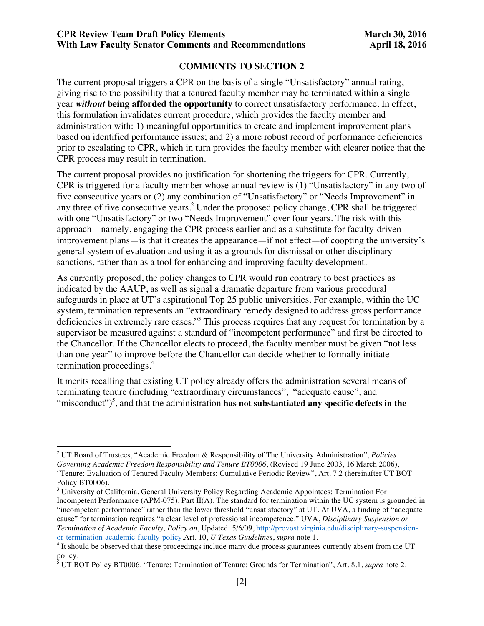The current proposal triggers a CPR on the basis of a single "Unsatisfactory" annual rating, giving rise to the possibility that a tenured faculty member may be terminated within a single year *without* **being afforded the opportunity** to correct unsatisfactory performance. In effect, this formulation invalidates current procedure, which provides the faculty member and administration with: 1) meaningful opportunities to create and implement improvement plans based on identified performance issues; and 2) a more robust record of performance deficiencies prior to escalating to CPR, which in turn provides the faculty member with clearer notice that the CPR process may result in termination.

The current proposal provides no justification for shortening the triggers for CPR. Currently, CPR is triggered for a faculty member whose annual review is (1) "Unsatisfactory" in any two of five consecutive years or (2) any combination of "Unsatisfactory" or "Needs Improvement" in any three of five consecutive years.<sup>2</sup> Under the proposed policy change, CPR shall be triggered with one "Unsatisfactory" or two "Needs Improvement" over four years. The risk with this approach—namely, engaging the CPR process earlier and as a substitute for faculty-driven improvement plans—is that it creates the appearance—if not effect—of coopting the university's general system of evaluation and using it as a grounds for dismissal or other disciplinary sanctions, rather than as a tool for enhancing and improving faculty development.

As currently proposed, the policy changes to CPR would run contrary to best practices as indicated by the AAUP, as well as signal a dramatic departure from various procedural safeguards in place at UT's aspirational Top 25 public universities. For example, within the UC system, termination represents an "extraordinary remedy designed to address gross performance deficiencies in extremely rare cases."3 This process requires that any request for termination by a supervisor be measured against a standard of "incompetent performance" and first be directed to the Chancellor. If the Chancellor elects to proceed, the faculty member must be given "not less than one year" to improve before the Chancellor can decide whether to formally initiate termination proceedings.<sup>4</sup>

It merits recalling that existing UT policy already offers the administration several means of terminating tenure (including "extraordinary circumstances", "adequate cause", and "misconduct")<sup>5</sup>, and that the administration **has not substantiated any specific defects in the** 

<u> 1989 - Johann Stein, markin film yn y breninn y breninn y breninn y breninn y breninn y breninn y breninn y b</u>

<sup>2</sup> UT Board of Trustees, "Academic Freedom & Responsibility of The University Administration", *Policies Governing Academic Freedom Responsibility and Tenure BT0006*, (Revised 19 June 2003, 16 March 2006), "Tenure: Evaluation of Tenured Faculty Members: Cumulative Periodic Review", Art. 7.2 (hereinafter UT BOT Policy BT0006).

<sup>&</sup>lt;sup>3</sup> University of California, General University Policy Regarding Academic Appointees: Termination For Incompetent Performance (APM-075), Part II(A). The standard for termination within the UC system is grounded in "incompetent performance" rather than the lower threshold "unsatisfactory" at UT. At UVA, a finding of "adequate cause" for termination requires "a clear level of professional incompetence." UVA, *Disciplinary Suspension or Termination of Academic Faculty, Policy on*, Updated: 5/6/09, http://provost.virginia.edu/disciplinary-suspension-

or-termination-academic-faculty-policy.Art. 10, *U Texas Guidelines*, *supra* note 1. 4 It should be observed that these proceedings include many due process guarantees currently absent from the UT policy.

<sup>5</sup> UT BOT Policy BT0006, "Tenure: Termination of Tenure: Grounds for Termination", Art. 8.1, *supra* note 2.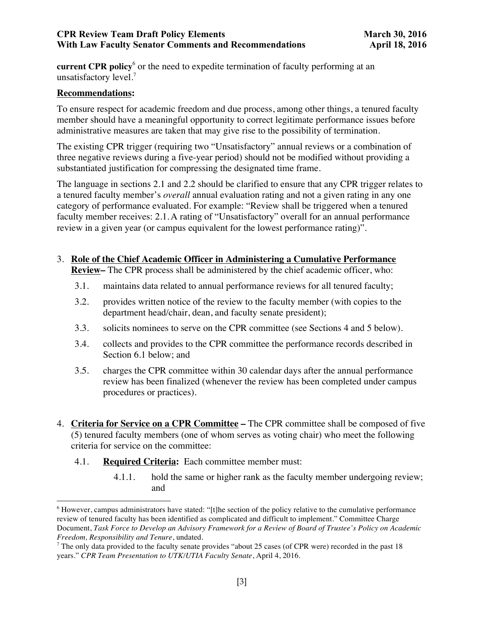**current CPR policy**<sup>6</sup> or the need to expedite termination of faculty performing at an unsatisfactory level. 7

#### **Recommendations:**

To ensure respect for academic freedom and due process, among other things, a tenured faculty member should have a meaningful opportunity to correct legitimate performance issues before administrative measures are taken that may give rise to the possibility of termination.

The existing CPR trigger (requiring two "Unsatisfactory" annual reviews or a combination of three negative reviews during a five-year period) should not be modified without providing a substantiated justification for compressing the designated time frame.

The language in sections 2.1 and 2.2 should be clarified to ensure that any CPR trigger relates to a tenured faculty member's *overall* annual evaluation rating and not a given rating in any one category of performance evaluated. For example: "Review shall be triggered when a tenured faculty member receives: 2.1.A rating of "Unsatisfactory" overall for an annual performance review in a given year (or campus equivalent for the lowest performance rating)".

- 3. **Role of the Chief Academic Officer in Administering a Cumulative Performance Review–** The CPR process shall be administered by the chief academic officer, who:
	-
	- 3.1. maintains data related to annual performance reviews for all tenured faculty;
	- 3.2. provides written notice of the review to the faculty member (with copies to the department head/chair, dean, and faculty senate president);
	- 3.3. solicits nominees to serve on the CPR committee (see Sections 4 and 5 below).
	- 3.4. collects and provides to the CPR committee the performance records described in Section 6.1 below; and
	- 3.5. charges the CPR committee within 30 calendar days after the annual performance review has been finalized (whenever the review has been completed under campus procedures or practices).
- 4. **Criteria for Service on a CPR Committee –** The CPR committee shall be composed of five (5) tenured faculty members (one of whom serves as voting chair) who meet the following criteria for service on the committee:
	- 4.1. **Required Criteria:** Each committee member must:

<u> 1989 - Johann Stein, markin film yn y breninn y breninn y breninn y breninn y breninn y breninn y breninn y b</u>

4.1.1. hold the same or higher rank as the faculty member undergoing review; and

<sup>6</sup> However, campus administrators have stated: "[t]he section of the policy relative to the cumulative performance review of tenured faculty has been identified as complicated and difficult to implement." Committee Charge Document, *Task Force to Develop an Advisory Framework for a Review of Board of Trustee's Policy on Academic Freedom, Responsibility and Tenure*, undated.

<sup>&</sup>lt;sup>7</sup> The only data provided to the faculty senate provides "about 25 cases (of CPR were) recorded in the past  $18$ years." *CPR Team Presentation to UTK/UTIA Faculty Senate*, April 4, 2016.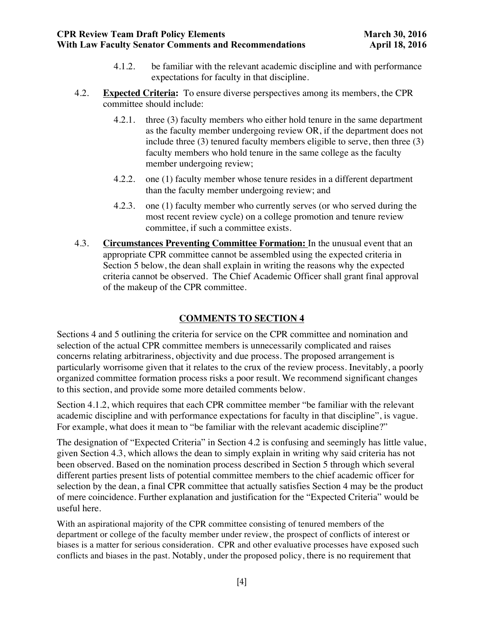- 4.1.2. be familiar with the relevant academic discipline and with performance expectations for faculty in that discipline.
- 4.2. **Expected Criteria:** To ensure diverse perspectives among its members, the CPR committee should include:
	- 4.2.1. three (3) faculty members who either hold tenure in the same department as the faculty member undergoing review OR, if the department does not include three (3) tenured faculty members eligible to serve, then three (3) faculty members who hold tenure in the same college as the faculty member undergoing review;
	- 4.2.2. one (1) faculty member whose tenure resides in a different department than the faculty member undergoing review; and
	- 4.2.3. one (1) faculty member who currently serves (or who served during the most recent review cycle) on a college promotion and tenure review committee, if such a committee exists.
- 4.3. **Circumstances Preventing Committee Formation:** In the unusual event that an appropriate CPR committee cannot be assembled using the expected criteria in Section 5 below, the dean shall explain in writing the reasons why the expected criteria cannot be observed. The Chief Academic Officer shall grant final approval of the makeup of the CPR committee.

Sections 4 and 5 outlining the criteria for service on the CPR committee and nomination and selection of the actual CPR committee members is unnecessarily complicated and raises concerns relating arbitrariness, objectivity and due process. The proposed arrangement is particularly worrisome given that it relates to the crux of the review process. Inevitably, a poorly organized committee formation process risks a poor result. We recommend significant changes to this section, and provide some more detailed comments below.

Section 4.1.2, which requires that each CPR committee member "be familiar with the relevant academic discipline and with performance expectations for faculty in that discipline", is vague. For example, what does it mean to "be familiar with the relevant academic discipline?"

The designation of "Expected Criteria" in Section 4.2 is confusing and seemingly has little value, given Section 4.3, which allows the dean to simply explain in writing why said criteria has not been observed. Based on the nomination process described in Section 5 through which several different parties present lists of potential committee members to the chief academic officer for selection by the dean, a final CPR committee that actually satisfies Section 4 may be the product of mere coincidence. Further explanation and justification for the "Expected Criteria" would be useful here.

With an aspirational majority of the CPR committee consisting of tenured members of the department or college of the faculty member under review, the prospect of conflicts of interest or biases is a matter for serious consideration. CPR and other evaluative processes have exposed such conflicts and biases in the past. Notably, under the proposed policy, there is no requirement that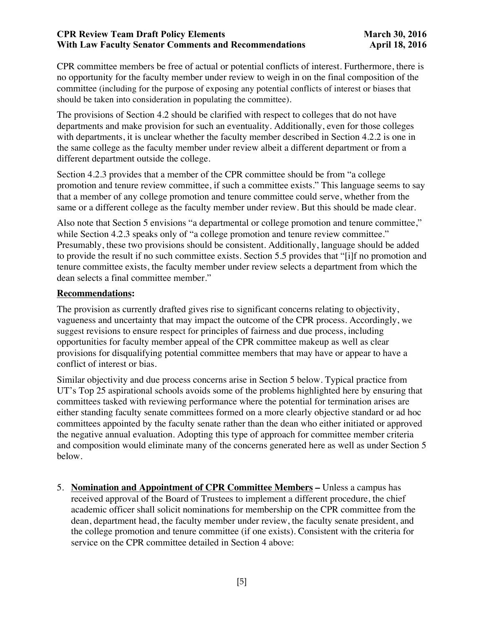CPR committee members be free of actual or potential conflicts of interest. Furthermore, there is no opportunity for the faculty member under review to weigh in on the final composition of the committee (including for the purpose of exposing any potential conflicts of interest or biases that should be taken into consideration in populating the committee).

The provisions of Section 4.2 should be clarified with respect to colleges that do not have departments and make provision for such an eventuality. Additionally, even for those colleges with departments, it is unclear whether the faculty member described in Section 4.2.2 is one in the same college as the faculty member under review albeit a different department or from a different department outside the college.

Section 4.2.3 provides that a member of the CPR committee should be from "a college promotion and tenure review committee, if such a committee exists." This language seems to say that a member of any college promotion and tenure committee could serve, whether from the same or a different college as the faculty member under review. But this should be made clear.

Also note that Section 5 envisions "a departmental or college promotion and tenure committee," while Section 4.2.3 speaks only of "a college promotion and tenure review committee." Presumably, these two provisions should be consistent. Additionally, language should be added to provide the result if no such committee exists. Section 5.5 provides that "[i]f no promotion and tenure committee exists, the faculty member under review selects a department from which the dean selects a final committee member."

### **Recommendations:**

The provision as currently drafted gives rise to significant concerns relating to objectivity, vagueness and uncertainty that may impact the outcome of the CPR process. Accordingly, we suggest revisions to ensure respect for principles of fairness and due process, including opportunities for faculty member appeal of the CPR committee makeup as well as clear provisions for disqualifying potential committee members that may have or appear to have a conflict of interest or bias.

Similar objectivity and due process concerns arise in Section 5 below. Typical practice from UT's Top 25 aspirational schools avoids some of the problems highlighted here by ensuring that committees tasked with reviewing performance where the potential for termination arises are either standing faculty senate committees formed on a more clearly objective standard or ad hoc committees appointed by the faculty senate rather than the dean who either initiated or approved the negative annual evaluation. Adopting this type of approach for committee member criteria and composition would eliminate many of the concerns generated here as well as under Section 5 below.

5. **Nomination and Appointment of CPR Committee Members –** Unless a campus has received approval of the Board of Trustees to implement a different procedure, the chief academic officer shall solicit nominations for membership on the CPR committee from the dean, department head, the faculty member under review, the faculty senate president, and the college promotion and tenure committee (if one exists). Consistent with the criteria for service on the CPR committee detailed in Section 4 above: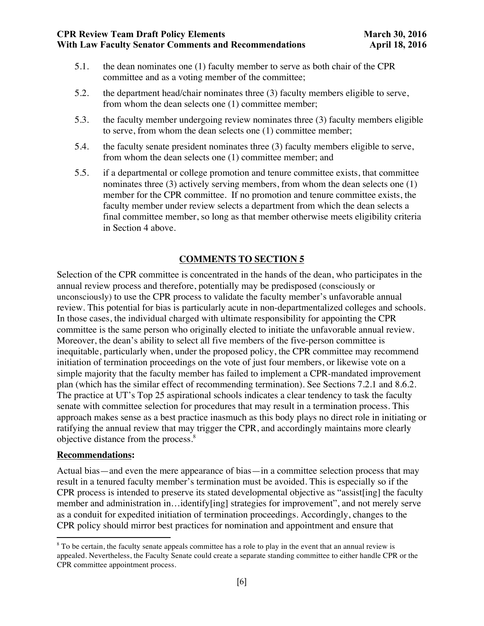- 5.1. the dean nominates one (1) faculty member to serve as both chair of the CPR committee and as a voting member of the committee;
- 5.2. the department head/chair nominates three (3) faculty members eligible to serve, from whom the dean selects one (1) committee member;
- 5.3. the faculty member undergoing review nominates three (3) faculty members eligible to serve, from whom the dean selects one (1) committee member;
- 5.4. the faculty senate president nominates three (3) faculty members eligible to serve, from whom the dean selects one (1) committee member; and
- 5.5. if a departmental or college promotion and tenure committee exists, that committee nominates three (3) actively serving members, from whom the dean selects one (1) member for the CPR committee. If no promotion and tenure committee exists, the faculty member under review selects a department from which the dean selects a final committee member, so long as that member otherwise meets eligibility criteria in Section 4 above.

Selection of the CPR committee is concentrated in the hands of the dean, who participates in the annual review process and therefore, potentially may be predisposed (consciously or unconsciously) to use the CPR process to validate the faculty member's unfavorable annual review. This potential for bias is particularly acute in non-departmentalized colleges and schools. In those cases, the individual charged with ultimate responsibility for appointing the CPR committee is the same person who originally elected to initiate the unfavorable annual review. Moreover, the dean's ability to select all five members of the five-person committee is inequitable, particularly when, under the proposed policy, the CPR committee may recommend initiation of termination proceedings on the vote of just four members, or likewise vote on a simple majority that the faculty member has failed to implement a CPR-mandated improvement plan (which has the similar effect of recommending termination). See Sections 7.2.1 and 8.6.2. The practice at UT's Top 25 aspirational schools indicates a clear tendency to task the faculty senate with committee selection for procedures that may result in a termination process. This approach makes sense as a best practice inasmuch as this body plays no direct role in initiating or ratifying the annual review that may trigger the CPR, and accordingly maintains more clearly objective distance from the process.<sup>8</sup>

#### **Recommendations:**

 

Actual bias—and even the mere appearance of bias—in a committee selection process that may result in a tenured faculty member's termination must be avoided. This is especially so if the CPR process is intended to preserve its stated developmental objective as "assist[ing] the faculty member and administration in…identify[ing] strategies for improvement", and not merely serve as a conduit for expedited initiation of termination proceedings. Accordingly, changes to the CPR policy should mirror best practices for nomination and appointment and ensure that

<sup>&</sup>lt;sup>8</sup> To be certain, the faculty senate appeals committee has a role to play in the event that an annual review is appealed. Nevertheless, the Faculty Senate could create a separate standing committee to either handle CPR or the CPR committee appointment process.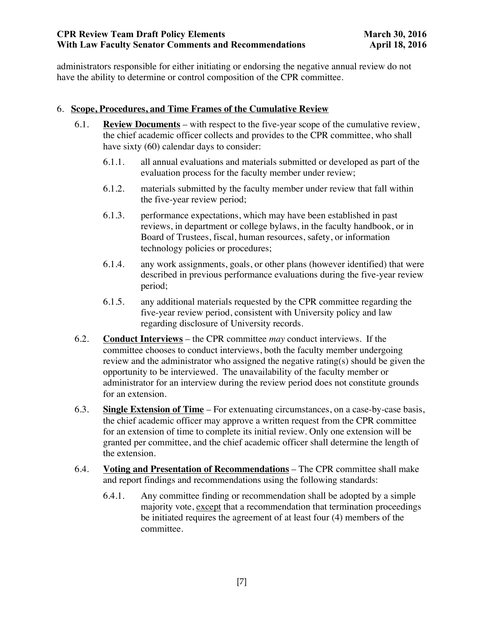administrators responsible for either initiating or endorsing the negative annual review do not have the ability to determine or control composition of the CPR committee.

## 6. **Scope, Procedures, and Time Frames of the Cumulative Review**

- 6.1. **Review Documents** with respect to the five-year scope of the cumulative review, the chief academic officer collects and provides to the CPR committee, who shall have sixty (60) calendar days to consider:
	- 6.1.1. all annual evaluations and materials submitted or developed as part of the evaluation process for the faculty member under review;
	- 6.1.2. materials submitted by the faculty member under review that fall within the five-year review period;
	- 6.1.3. performance expectations, which may have been established in past reviews, in department or college bylaws, in the faculty handbook, or in Board of Trustees, fiscal, human resources, safety, or information technology policies or procedures;
	- 6.1.4. any work assignments, goals, or other plans (however identified) that were described in previous performance evaluations during the five-year review period;
	- 6.1.5. any additional materials requested by the CPR committee regarding the five-year review period, consistent with University policy and law regarding disclosure of University records.
- 6.2. **Conduct Interviews** the CPR committee *may* conduct interviews. If the committee chooses to conduct interviews, both the faculty member undergoing review and the administrator who assigned the negative rating(s) should be given the opportunity to be interviewed. The unavailability of the faculty member or administrator for an interview during the review period does not constitute grounds for an extension.
- 6.3. **Single Extension of Time** For extenuating circumstances, on a case-by-case basis, the chief academic officer may approve a written request from the CPR committee for an extension of time to complete its initial review. Only one extension will be granted per committee, and the chief academic officer shall determine the length of the extension.
- 6.4. **Voting and Presentation of Recommendations** The CPR committee shall make and report findings and recommendations using the following standards:
	- 6.4.1. Any committee finding or recommendation shall be adopted by a simple majority vote, except that a recommendation that termination proceedings be initiated requires the agreement of at least four (4) members of the committee.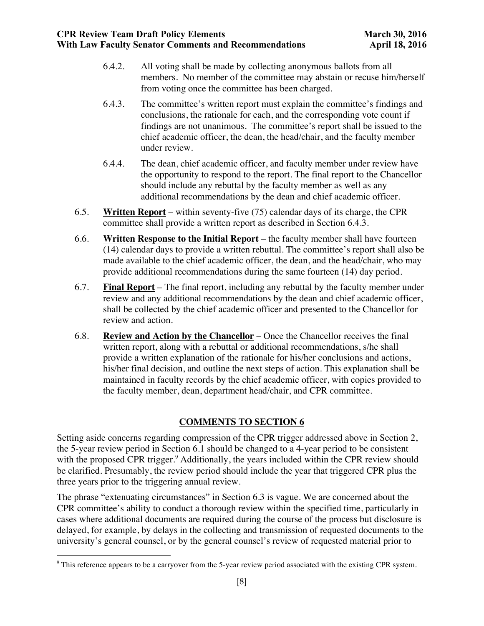- 6.4.2. All voting shall be made by collecting anonymous ballots from all members. No member of the committee may abstain or recuse him/herself from voting once the committee has been charged.
- 6.4.3. The committee's written report must explain the committee's findings and conclusions, the rationale for each, and the corresponding vote count if findings are not unanimous. The committee's report shall be issued to the chief academic officer, the dean, the head/chair, and the faculty member under review.
- 6.4.4. The dean, chief academic officer, and faculty member under review have the opportunity to respond to the report. The final report to the Chancellor should include any rebuttal by the faculty member as well as any additional recommendations by the dean and chief academic officer.
- 6.5. **Written Report** within seventy-five (75) calendar days of its charge, the CPR committee shall provide a written report as described in Section 6.4.3.
- 6.6. **Written Response to the Initial Report** the faculty member shall have fourteen (14) calendar days to provide a written rebuttal. The committee's report shall also be made available to the chief academic officer, the dean, and the head/chair, who may provide additional recommendations during the same fourteen (14) day period.
- 6.7. **Final Report** The final report, including any rebuttal by the faculty member under review and any additional recommendations by the dean and chief academic officer, shall be collected by the chief academic officer and presented to the Chancellor for review and action.
- 6.8. **Review and Action by the Chancellor** Once the Chancellor receives the final written report, along with a rebuttal or additional recommendations, s/he shall provide a written explanation of the rationale for his/her conclusions and actions, his/her final decision, and outline the next steps of action. This explanation shall be maintained in faculty records by the chief academic officer, with copies provided to the faculty member, dean, department head/chair, and CPR committee.

Setting aside concerns regarding compression of the CPR trigger addressed above in Section 2, the 5-year review period in Section 6.1 should be changed to a 4-year period to be consistent with the proposed CPR trigger.<sup>9</sup> Additionally, the years included within the CPR review should be clarified. Presumably, the review period should include the year that triggered CPR plus the three years prior to the triggering annual review.

The phrase "extenuating circumstances" in Section 6.3 is vague. We are concerned about the CPR committee's ability to conduct a thorough review within the specified time, particularly in cases where additional documents are required during the course of the process but disclosure is delayed, for example, by delays in the collecting and transmission of requested documents to the university's general counsel, or by the general counsel's review of requested material prior to

<u> 1989 - Johann Stein, markin film yn y breninn y breninn y breninn y breninn y breninn y breninn y breninn y b</u>

 $9$  This reference appears to be a carryover from the 5-year review period associated with the existing CPR system.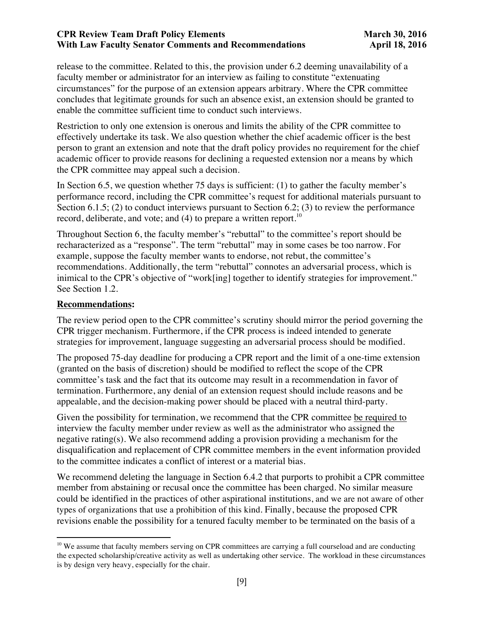release to the committee. Related to this, the provision under 6.2 deeming unavailability of a faculty member or administrator for an interview as failing to constitute "extenuating circumstances" for the purpose of an extension appears arbitrary. Where the CPR committee concludes that legitimate grounds for such an absence exist, an extension should be granted to enable the committee sufficient time to conduct such interviews.

Restriction to only one extension is onerous and limits the ability of the CPR committee to effectively undertake its task. We also question whether the chief academic officer is the best person to grant an extension and note that the draft policy provides no requirement for the chief academic officer to provide reasons for declining a requested extension nor a means by which the CPR committee may appeal such a decision.

In Section 6.5, we question whether 75 days is sufficient: (1) to gather the faculty member's performance record, including the CPR committee's request for additional materials pursuant to Section 6.1.5; (2) to conduct interviews pursuant to Section 6.2; (3) to review the performance record, deliberate, and vote; and  $(4)$  to prepare a written report.<sup>10</sup>

Throughout Section 6, the faculty member's "rebuttal" to the committee's report should be recharacterized as a "response". The term "rebuttal" may in some cases be too narrow. For example, suppose the faculty member wants to endorse, not rebut, the committee's recommendations. Additionally, the term "rebuttal" connotes an adversarial process, which is inimical to the CPR's objective of "work[ing] together to identify strategies for improvement." See Section 1.2.

#### **Recommendations:**

 

The review period open to the CPR committee's scrutiny should mirror the period governing the CPR trigger mechanism. Furthermore, if the CPR process is indeed intended to generate strategies for improvement, language suggesting an adversarial process should be modified.

The proposed 75-day deadline for producing a CPR report and the limit of a one-time extension (granted on the basis of discretion) should be modified to reflect the scope of the CPR committee's task and the fact that its outcome may result in a recommendation in favor of termination. Furthermore, any denial of an extension request should include reasons and be appealable, and the decision-making power should be placed with a neutral third-party.

Given the possibility for termination, we recommend that the CPR committee be required to interview the faculty member under review as well as the administrator who assigned the negative rating(s). We also recommend adding a provision providing a mechanism for the disqualification and replacement of CPR committee members in the event information provided to the committee indicates a conflict of interest or a material bias.

We recommend deleting the language in Section 6.4.2 that purports to prohibit a CPR committee member from abstaining or recusal once the committee has been charged. No similar measure could be identified in the practices of other aspirational institutions, and we are not aware of other types of organizations that use a prohibition of this kind. Finally, because the proposed CPR revisions enable the possibility for a tenured faculty member to be terminated on the basis of a

<sup>&</sup>lt;sup>10</sup> We assume that faculty members serving on CPR committees are carrying a full courseload and are conducting the expected scholarship/creative activity as well as undertaking other service. The workload in these circumstances is by design very heavy, especially for the chair.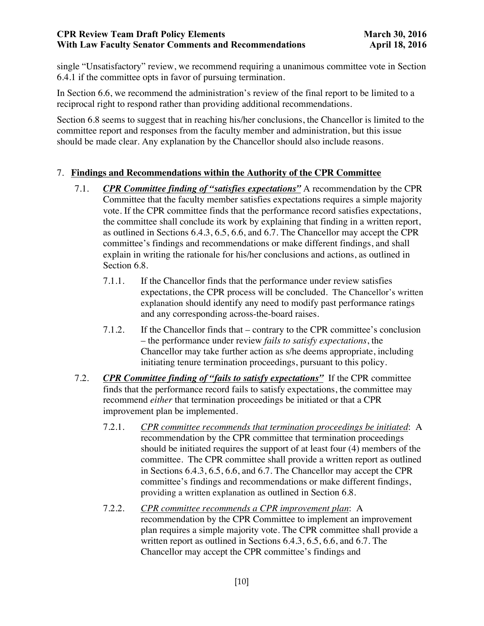single "Unsatisfactory" review, we recommend requiring a unanimous committee vote in Section 6.4.1 if the committee opts in favor of pursuing termination.

In Section 6.6, we recommend the administration's review of the final report to be limited to a reciprocal right to respond rather than providing additional recommendations.

Section 6.8 seems to suggest that in reaching his/her conclusions, the Chancellor is limited to the committee report and responses from the faculty member and administration, but this issue should be made clear. Any explanation by the Chancellor should also include reasons.

### 7. **Findings and Recommendations within the Authority of the CPR Committee**

- 7.1. *CPR Committee finding of "satisfies expectations"* A recommendation by the CPR Committee that the faculty member satisfies expectations requires a simple majority vote. If the CPR committee finds that the performance record satisfies expectations, the committee shall conclude its work by explaining that finding in a written report, as outlined in Sections 6.4.3, 6.5, 6.6, and 6.7. The Chancellor may accept the CPR committee's findings and recommendations or make different findings, and shall explain in writing the rationale for his/her conclusions and actions, as outlined in Section 6.8.
	- 7.1.1. If the Chancellor finds that the performance under review satisfies expectations, the CPR process will be concluded. The Chancellor's written explanation should identify any need to modify past performance ratings and any corresponding across-the-board raises.
	- 7.1.2. If the Chancellor finds that contrary to the CPR committee's conclusion – the performance under review *fails to satisfy expectations*, the Chancellor may take further action as s/he deems appropriate, including initiating tenure termination proceedings, pursuant to this policy.
- 7.2. *CPR Committee finding of "fails to satisfy expectations"* If the CPR committee finds that the performance record fails to satisfy expectations, the committee may recommend *either* that termination proceedings be initiated or that a CPR improvement plan be implemented.
	- 7.2.1. *CPR committee recommends that termination proceedings be initiated*: A recommendation by the CPR committee that termination proceedings should be initiated requires the support of at least four (4) members of the committee. The CPR committee shall provide a written report as outlined in Sections 6.4.3, 6.5, 6.6, and 6.7. The Chancellor may accept the CPR committee's findings and recommendations or make different findings, providing a written explanation as outlined in Section 6.8.
	- 7.2.2. *CPR committee recommends a CPR improvement plan*: A recommendation by the CPR Committee to implement an improvement plan requires a simple majority vote. The CPR committee shall provide a written report as outlined in Sections 6.4.3, 6.5, 6.6, and 6.7. The Chancellor may accept the CPR committee's findings and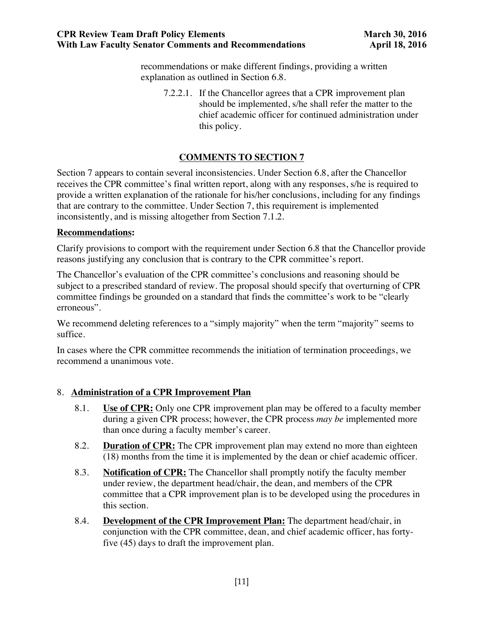recommendations or make different findings, providing a written explanation as outlined in Section 6.8.

7.2.2.1. If the Chancellor agrees that a CPR improvement plan should be implemented, s/he shall refer the matter to the chief academic officer for continued administration under this policy.

# **COMMENTS TO SECTION 7**

Section 7 appears to contain several inconsistencies. Under Section 6.8, after the Chancellor receives the CPR committee's final written report, along with any responses, s/he is required to provide a written explanation of the rationale for his/her conclusions, including for any findings that are contrary to the committee. Under Section 7, this requirement is implemented inconsistently, and is missing altogether from Section 7.1.2.

#### **Recommendations:**

Clarify provisions to comport with the requirement under Section 6.8 that the Chancellor provide reasons justifying any conclusion that is contrary to the CPR committee's report.

The Chancellor's evaluation of the CPR committee's conclusions and reasoning should be subject to a prescribed standard of review. The proposal should specify that overturning of CPR committee findings be grounded on a standard that finds the committee's work to be "clearly erroneous".

We recommend deleting references to a "simply majority" when the term "majority" seems to suffice.

In cases where the CPR committee recommends the initiation of termination proceedings, we recommend a unanimous vote.

#### 8. **Administration of a CPR Improvement Plan**

- 8.1. **Use of CPR:** Only one CPR improvement plan may be offered to a faculty member during a given CPR process; however, the CPR process *may be* implemented more than once during a faculty member's career.
- 8.2. **Duration of CPR:** The CPR improvement plan may extend no more than eighteen (18) months from the time it is implemented by the dean or chief academic officer.
- 8.3. **Notification of CPR:** The Chancellor shall promptly notify the faculty member under review, the department head/chair, the dean, and members of the CPR committee that a CPR improvement plan is to be developed using the procedures in this section.
- 8.4. **Development of the CPR Improvement Plan:** The department head/chair, in conjunction with the CPR committee, dean, and chief academic officer, has fortyfive (45) days to draft the improvement plan.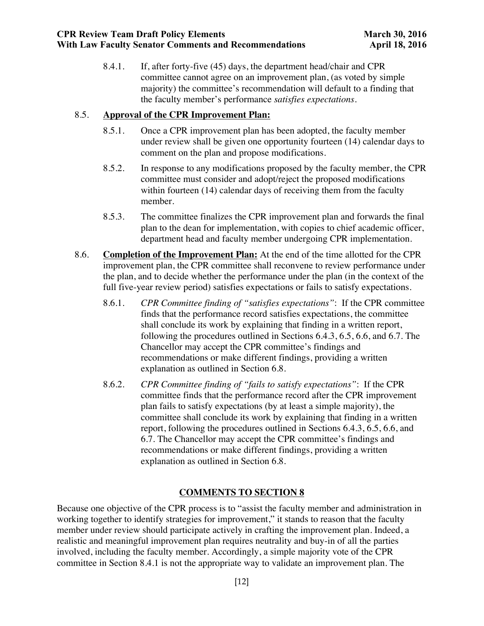8.4.1. If, after forty-five (45) days, the department head/chair and CPR committee cannot agree on an improvement plan, (as voted by simple majority) the committee's recommendation will default to a finding that the faculty member's performance *satisfies expectations*.

## 8.5. **Approval of the CPR Improvement Plan:**

- 8.5.1. Once a CPR improvement plan has been adopted, the faculty member under review shall be given one opportunity fourteen (14) calendar days to comment on the plan and propose modifications.
- 8.5.2. In response to any modifications proposed by the faculty member, the CPR committee must consider and adopt/reject the proposed modifications within fourteen (14) calendar days of receiving them from the faculty member.
- 8.5.3. The committee finalizes the CPR improvement plan and forwards the final plan to the dean for implementation, with copies to chief academic officer, department head and faculty member undergoing CPR implementation.
- 8.6. **Completion of the Improvement Plan:** At the end of the time allotted for the CPR improvement plan, the CPR committee shall reconvene to review performance under the plan, and to decide whether the performance under the plan (in the context of the full five-year review period) satisfies expectations or fails to satisfy expectations.
	- 8.6.1. *CPR Committee finding of "satisfies expectations"*: If the CPR committee finds that the performance record satisfies expectations, the committee shall conclude its work by explaining that finding in a written report, following the procedures outlined in Sections 6.4.3, 6.5, 6.6, and 6.7. The Chancellor may accept the CPR committee's findings and recommendations or make different findings, providing a written explanation as outlined in Section 6.8.
	- 8.6.2. *CPR Committee finding of "fails to satisfy expectations"*: If the CPR committee finds that the performance record after the CPR improvement plan fails to satisfy expectations (by at least a simple majority), the committee shall conclude its work by explaining that finding in a written report, following the procedures outlined in Sections 6.4.3, 6.5, 6.6, and 6.7. The Chancellor may accept the CPR committee's findings and recommendations or make different findings, providing a written explanation as outlined in Section 6.8.

# **COMMENTS TO SECTION 8**

Because one objective of the CPR process is to "assist the faculty member and administration in working together to identify strategies for improvement," it stands to reason that the faculty member under review should participate actively in crafting the improvement plan. Indeed, a realistic and meaningful improvement plan requires neutrality and buy-in of all the parties involved, including the faculty member. Accordingly, a simple majority vote of the CPR committee in Section 8.4.1 is not the appropriate way to validate an improvement plan. The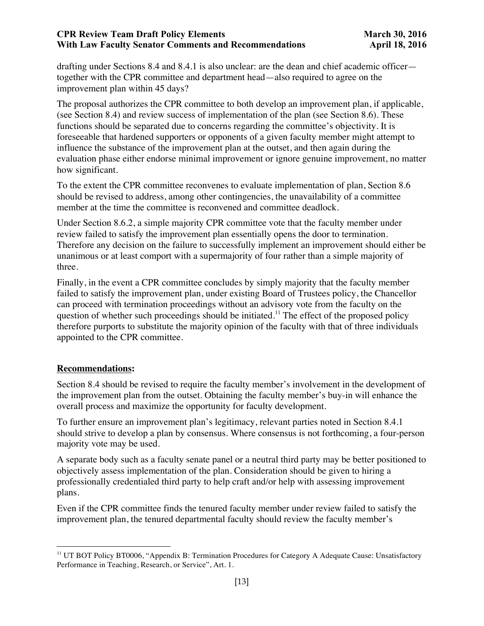drafting under Sections 8.4 and 8.4.1 is also unclear: are the dean and chief academic officer together with the CPR committee and department head—also required to agree on the improvement plan within 45 days?

The proposal authorizes the CPR committee to both develop an improvement plan, if applicable, (see Section 8.4) and review success of implementation of the plan (see Section 8.6). These functions should be separated due to concerns regarding the committee's objectivity. It is foreseeable that hardened supporters or opponents of a given faculty member might attempt to influence the substance of the improvement plan at the outset, and then again during the evaluation phase either endorse minimal improvement or ignore genuine improvement, no matter how significant.

To the extent the CPR committee reconvenes to evaluate implementation of plan, Section 8.6 should be revised to address, among other contingencies, the unavailability of a committee member at the time the committee is reconvened and committee deadlock.

Under Section 8.6.2, a simple majority CPR committee vote that the faculty member under review failed to satisfy the improvement plan essentially opens the door to termination. Therefore any decision on the failure to successfully implement an improvement should either be unanimous or at least comport with a supermajority of four rather than a simple majority of three.

Finally, in the event a CPR committee concludes by simply majority that the faculty member failed to satisfy the improvement plan, under existing Board of Trustees policy, the Chancellor can proceed with termination proceedings without an advisory vote from the faculty on the question of whether such proceedings should be initiated.<sup>11</sup> The effect of the proposed policy therefore purports to substitute the majority opinion of the faculty with that of three individuals appointed to the CPR committee.

#### **Recommendations:**

Section 8.4 should be revised to require the faculty member's involvement in the development of the improvement plan from the outset. Obtaining the faculty member's buy-in will enhance the overall process and maximize the opportunity for faculty development.

To further ensure an improvement plan's legitimacy, relevant parties noted in Section 8.4.1 should strive to develop a plan by consensus. Where consensus is not forthcoming, a four-person majority vote may be used.

A separate body such as a faculty senate panel or a neutral third party may be better positioned to objectively assess implementation of the plan. Consideration should be given to hiring a professionally credentialed third party to help craft and/or help with assessing improvement plans.

Even if the CPR committee finds the tenured faculty member under review failed to satisfy the improvement plan, the tenured departmental faculty should review the faculty member's

<sup>&</sup>lt;u> 1989 - Johann Stein, markin film yn y breninn y breninn y breninn y breninn y breninn y breninn y breninn y b</u> <sup>11</sup> UT BOT Policy BT0006, "Appendix B: Termination Procedures for Category A Adequate Cause: Unsatisfactory Performance in Teaching, Research, or Service", Art. 1.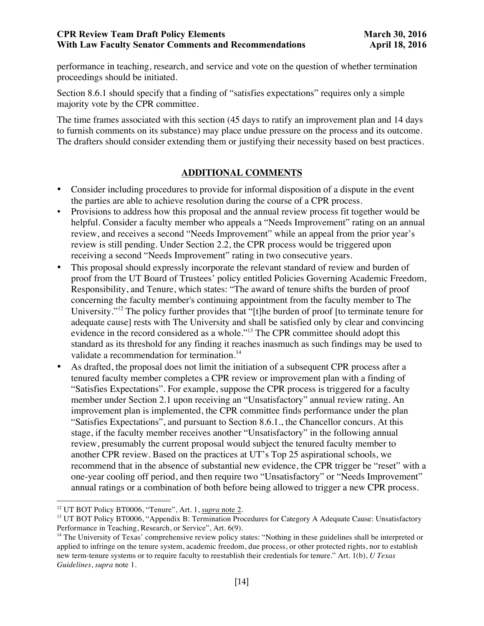performance in teaching, research, and service and vote on the question of whether termination proceedings should be initiated.

Section 8.6.1 should specify that a finding of "satisfies expectations" requires only a simple majority vote by the CPR committee.

The time frames associated with this section (45 days to ratify an improvement plan and 14 days to furnish comments on its substance) may place undue pressure on the process and its outcome. The drafters should consider extending them or justifying their necessity based on best practices.

### **ADDITIONAL COMMENTS**

- Consider including procedures to provide for informal disposition of a dispute in the event the parties are able to achieve resolution during the course of a CPR process.
- Provisions to address how this proposal and the annual review process fit together would be helpful. Consider a faculty member who appeals a "Needs Improvement" rating on an annual review, and receives a second "Needs Improvement" while an appeal from the prior year's review is still pending. Under Section 2.2, the CPR process would be triggered upon receiving a second "Needs Improvement" rating in two consecutive years.
- This proposal should expressly incorporate the relevant standard of review and burden of proof from the UT Board of Trustees' policy entitled Policies Governing Academic Freedom, Responsibility, and Tenure, which states: "The award of tenure shifts the burden of proof concerning the faculty member's continuing appointment from the faculty member to The University."<sup>12</sup> The policy further provides that "[t]he burden of proof [to terminate tenure for adequate cause] rests with The University and shall be satisfied only by clear and convincing evidence in the record considered as a whole."<sup>13</sup> The CPR committee should adopt this standard as its threshold for any finding it reaches inasmuch as such findings may be used to validate a recommendation for termination.<sup>14</sup>
- As drafted, the proposal does not limit the initiation of a subsequent CPR process after a tenured faculty member completes a CPR review or improvement plan with a finding of "Satisfies Expectations". For example, suppose the CPR process is triggered for a faculty member under Section 2.1 upon receiving an "Unsatisfactory" annual review rating. An improvement plan is implemented, the CPR committee finds performance under the plan "Satisfies Expectations", and pursuant to Section 8.6.1., the Chancellor concurs. At this stage, if the faculty member receives another "Unsatisfactory" in the following annual review, presumably the current proposal would subject the tenured faculty member to another CPR review. Based on the practices at UT's Top 25 aspirational schools, we recommend that in the absence of substantial new evidence, the CPR trigger be "reset" with a one-year cooling off period, and then require two "Unsatisfactory" or "Needs Improvement" annual ratings or a combination of both before being allowed to trigger a new CPR process.

<u> 1989 - Johann Stein, fransk politik (d. 1989)</u>

<sup>12</sup> UT BOT Policy BT0006, "Tenure", Art. 1, *supra* note 2.

<sup>&</sup>lt;sup>13</sup> UT BOT Policy BT0006, "Appendix B: Termination Procedures for Category A Adequate Cause: Unsatisfactory Performance in Teaching, Research, or Service", Art. 6(9).

<sup>&</sup>lt;sup>14</sup> The University of Texas' comprehensive review policy states: "Nothing in these guidelines shall be interpreted or applied to infringe on the tenure system, academic freedom, due process, or other protected rights, nor to establish new term-tenure systems or to require faculty to reestablish their credentials for tenure." Art. 1(b), *U Texas Guidelines*, *supra* note 1.